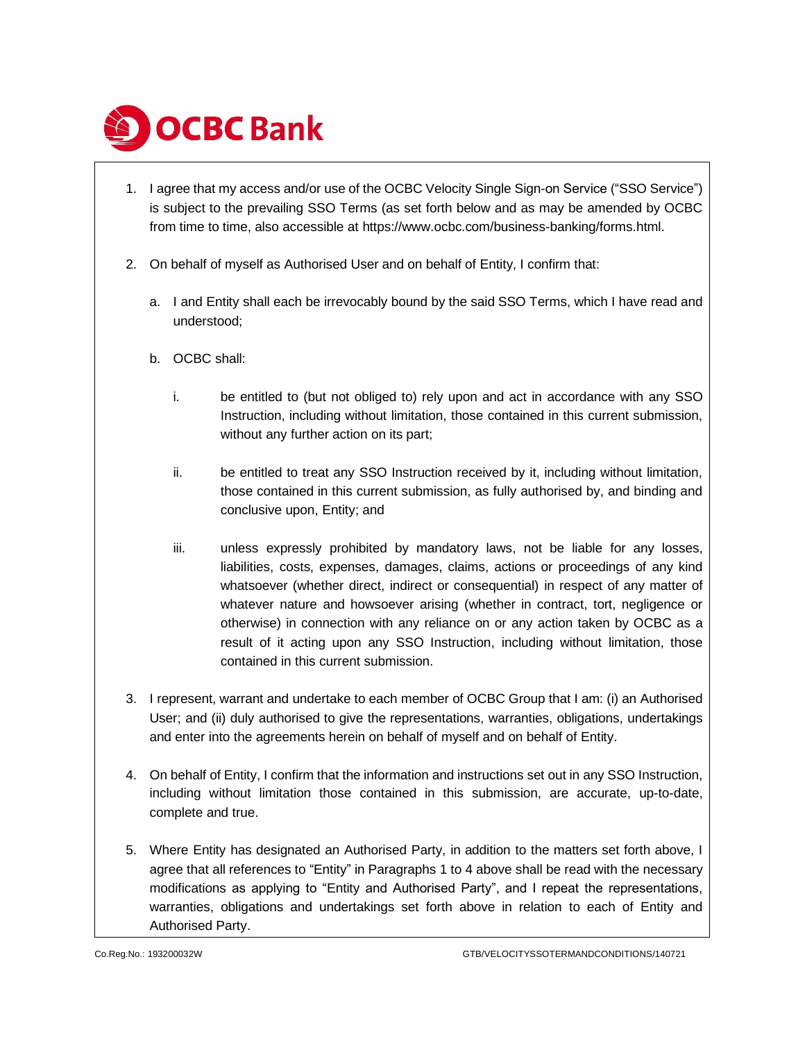

- <span id="page-0-0"></span>1. I agree that my access and/or use of the OCBC Velocity Single Sign-on Service ("SSO Service") is subject to the prevailing SSO Terms (as set forth below and as may be amended by OCBC from time to time, also accessible at https://www.ocbc.com/business-banking/forms.html.
- 2. On behalf of myself as Authorised User and on behalf of Entity, I confirm that:
	- a. I and Entity shall each be irrevocably bound by the said SSO Terms, which I have read and understood;
	- b. OCBC shall:
		- i. be entitled to (but not obliged to) rely upon and act in accordance with any SSO Instruction, including without limitation, those contained in this current submission, without any further action on its part;
		- ii. be entitled to treat any SSO Instruction received by it, including without limitation, those contained in this current submission, as fully authorised by, and binding and conclusive upon, Entity; and
		- iii. unless expressly prohibited by mandatory laws, not be liable for any losses, liabilities, costs, expenses, damages, claims, actions or proceedings of any kind whatsoever (whether direct, indirect or consequential) in respect of any matter of whatever nature and howsoever arising (whether in contract, tort, negligence or otherwise) in connection with any reliance on or any action taken by OCBC as a result of it acting upon any SSO Instruction, including without limitation, those contained in this current submission.
- 3. I represent, warrant and undertake to each member of OCBC Group that I am: (i) an Authorised User; and (ii) duly authorised to give the representations, warranties, obligations, undertakings and enter into the agreements herein on behalf of myself and on behalf of Entity.
- <span id="page-0-1"></span>4. On behalf of Entity, I confirm that the information and instructions set out in any SSO Instruction, including without limitation those contained in this submission, are accurate, up-to-date, complete and true.
- 5. Where Entity has designated an Authorised Party, in addition to the matters set forth above, I agree that all references to "Entity" in Paragraphs [1](#page-0-0) t[o 4](#page-0-1) above shall be read with the necessary modifications as applying to "Entity and Authorised Party", and I repeat the representations, warranties, obligations and undertakings set forth above in relation to each of Entity and Authorised Party.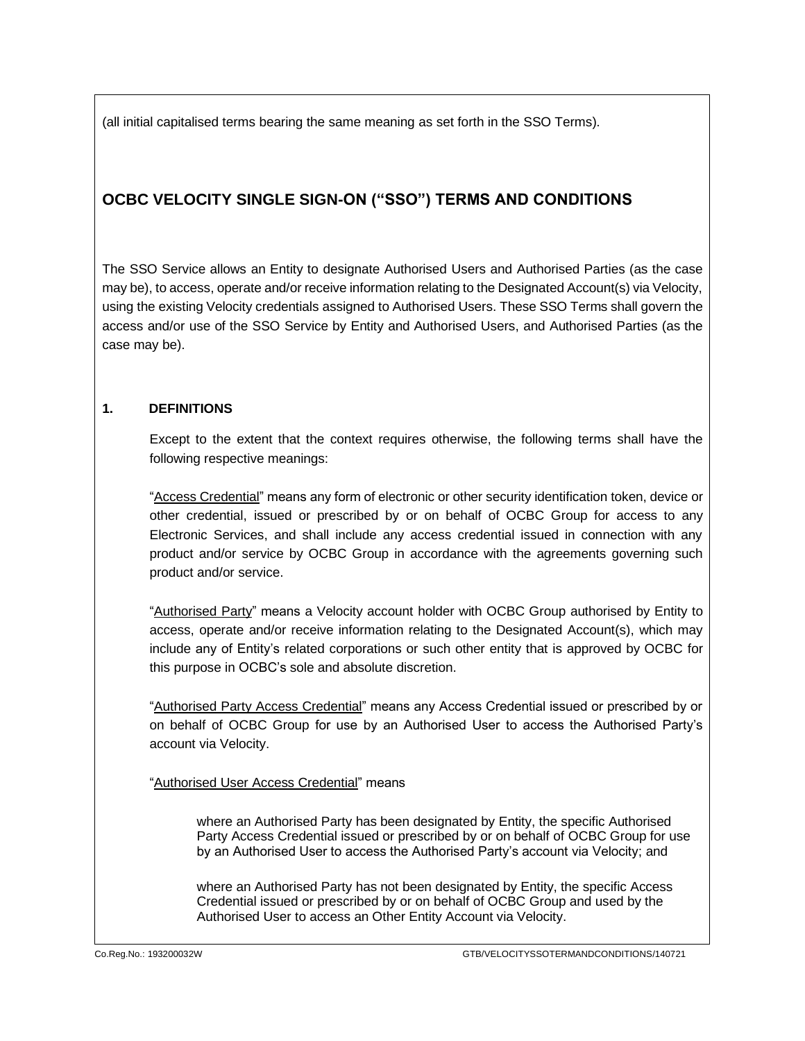(all initial capitalised terms bearing the same meaning as set forth in the SSO Terms).

# **OCBC VELOCITY SINGLE SIGN-ON ("SSO") TERMS AND CONDITIONS**

The SSO Service allows an Entity to designate Authorised Users and Authorised Parties (as the case may be), to access, operate and/or receive information relating to the Designated Account(s) via Velocity, using the existing Velocity credentials assigned to Authorised Users. These SSO Terms shall govern the access and/or use of the SSO Service by Entity and Authorised Users, and Authorised Parties (as the case may be).

## **1. DEFINITIONS**

Except to the extent that the context requires otherwise, the following terms shall have the following respective meanings:

"Access Credential" means any form of electronic or other security identification token, device or other credential, issued or prescribed by or on behalf of OCBC Group for access to any Electronic Services, and shall include any access credential issued in connection with any product and/or service by OCBC Group in accordance with the agreements governing such product and/or service.

"Authorised Party" means a Velocity account holder with OCBC Group authorised by Entity to access, operate and/or receive information relating to the Designated Account(s), which may include any of Entity's related corporations or such other entity that is approved by OCBC for this purpose in OCBC's sole and absolute discretion.

"Authorised Party Access Credential" means any Access Credential issued or prescribed by or on behalf of OCBC Group for use by an Authorised User to access the Authorised Party's account via Velocity.

"Authorised User Access Credential" means

where an Authorised Party has been designated by Entity, the specific Authorised Party Access Credential issued or prescribed by or on behalf of OCBC Group for use by an Authorised User to access the Authorised Party's account via Velocity; and

where an Authorised Party has not been designated by Entity, the specific Access Credential issued or prescribed by or on behalf of OCBC Group and used by the Authorised User to access an Other Entity Account via Velocity.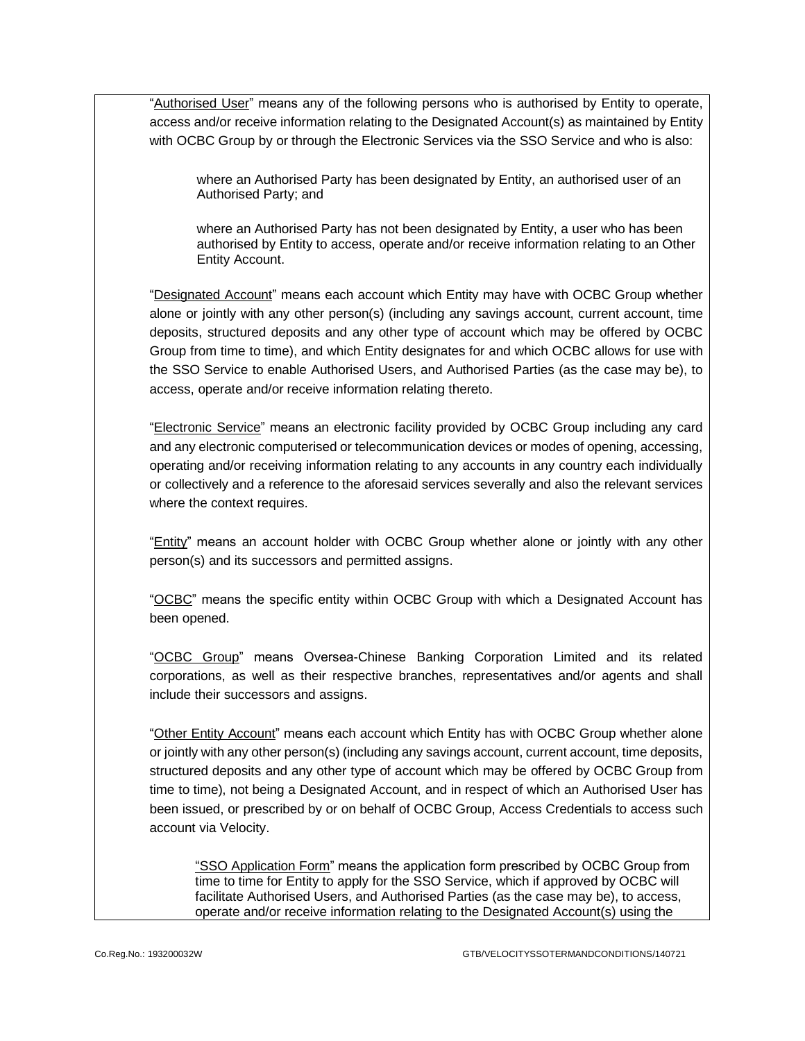"Authorised User" means any of the following persons who is authorised by Entity to operate, access and/or receive information relating to the Designated Account(s) as maintained by Entity with OCBC Group by or through the Electronic Services via the SSO Service and who is also:

where an Authorised Party has been designated by Entity, an authorised user of an Authorised Party; and

where an Authorised Party has not been designated by Entity, a user who has been authorised by Entity to access, operate and/or receive information relating to an Other Entity Account.

"Designated Account" means each account which Entity may have with OCBC Group whether alone or jointly with any other person(s) (including any savings account, current account, time deposits, structured deposits and any other type of account which may be offered by OCBC Group from time to time), and which Entity designates for and which OCBC allows for use with the SSO Service to enable Authorised Users, and Authorised Parties (as the case may be), to access, operate and/or receive information relating thereto.

"Electronic Service" means an electronic facility provided by OCBC Group including any card and any electronic computerised or telecommunication devices or modes of opening, accessing, operating and/or receiving information relating to any accounts in any country each individually or collectively and a reference to the aforesaid services severally and also the relevant services where the context requires.

"Entity" means an account holder with OCBC Group whether alone or jointly with any other person(s) and its successors and permitted assigns.

"OCBC" means the specific entity within OCBC Group with which a Designated Account has been opened.

"OCBC Group" means Oversea-Chinese Banking Corporation Limited and its related corporations, as well as their respective branches, representatives and/or agents and shall include their successors and assigns.

"Other Entity Account" means each account which Entity has with OCBC Group whether alone or jointly with any other person(s) (including any savings account, current account, time deposits, structured deposits and any other type of account which may be offered by OCBC Group from time to time), not being a Designated Account, and in respect of which an Authorised User has been issued, or prescribed by or on behalf of OCBC Group, Access Credentials to access such account via Velocity.

"SSO Application Form" means the application form prescribed by OCBC Group from time to time for Entity to apply for the SSO Service, which if approved by OCBC will facilitate Authorised Users, and Authorised Parties (as the case may be), to access, operate and/or receive information relating to the Designated Account(s) using the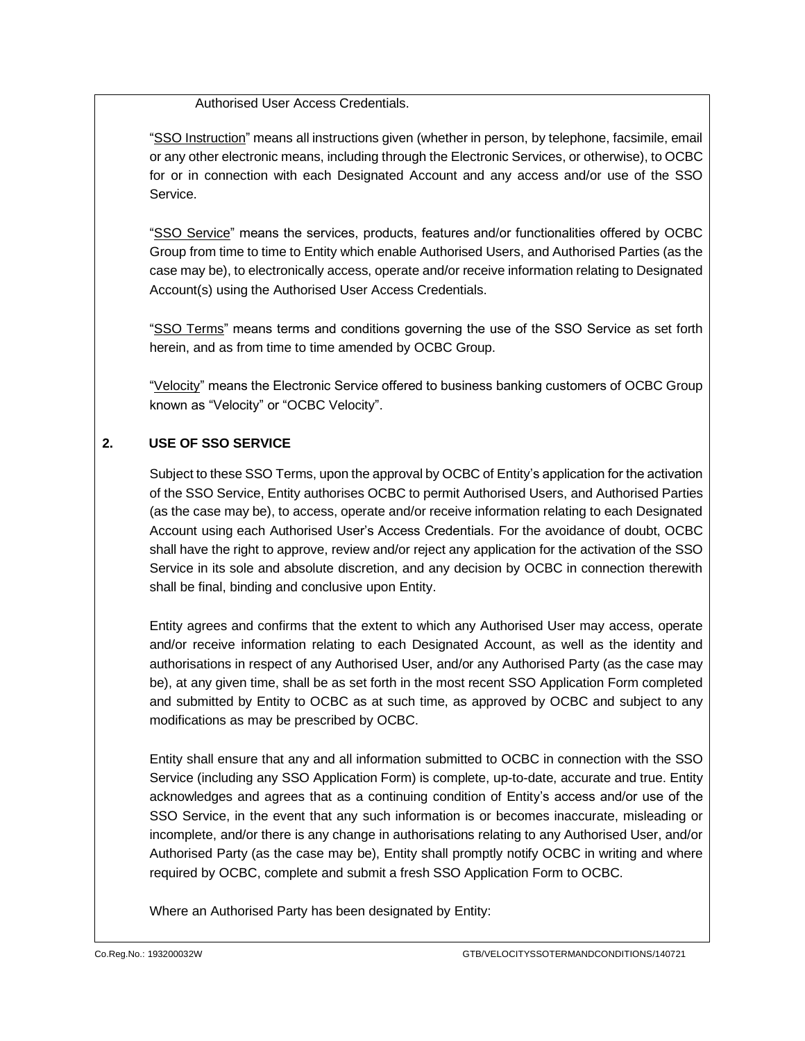Authorised User Access Credentials.

"SSO Instruction" means all instructions given (whether in person, by telephone, facsimile, email or any other electronic means, including through the Electronic Services, or otherwise), to OCBC for or in connection with each Designated Account and any access and/or use of the SSO Service.

"SSO Service" means the services, products, features and/or functionalities offered by OCBC Group from time to time to Entity which enable Authorised Users, and Authorised Parties (as the case may be), to electronically access, operate and/or receive information relating to Designated Account(s) using the Authorised User Access Credentials.

"SSO Terms" means terms and conditions governing the use of the SSO Service as set forth herein, and as from time to time amended by OCBC Group.

"Velocity" means the Electronic Service offered to business banking customers of OCBC Group known as "Velocity" or "OCBC Velocity".

## **2. USE OF SSO SERVICE**

Subject to these SSO Terms, upon the approval by OCBC of Entity's application for the activation of the SSO Service, Entity authorises OCBC to permit Authorised Users, and Authorised Parties (as the case may be), to access, operate and/or receive information relating to each Designated Account using each Authorised User's Access Credentials. For the avoidance of doubt, OCBC shall have the right to approve, review and/or reject any application for the activation of the SSO Service in its sole and absolute discretion, and any decision by OCBC in connection therewith shall be final, binding and conclusive upon Entity.

Entity agrees and confirms that the extent to which any Authorised User may access, operate and/or receive information relating to each Designated Account, as well as the identity and authorisations in respect of any Authorised User, and/or any Authorised Party (as the case may be), at any given time, shall be as set forth in the most recent SSO Application Form completed and submitted by Entity to OCBC as at such time, as approved by OCBC and subject to any modifications as may be prescribed by OCBC.

Entity shall ensure that any and all information submitted to OCBC in connection with the SSO Service (including any SSO Application Form) is complete, up-to-date, accurate and true. Entity acknowledges and agrees that as a continuing condition of Entity's access and/or use of the SSO Service, in the event that any such information is or becomes inaccurate, misleading or incomplete, and/or there is any change in authorisations relating to any Authorised User, and/or Authorised Party (as the case may be), Entity shall promptly notify OCBC in writing and where required by OCBC, complete and submit a fresh SSO Application Form to OCBC.

Where an Authorised Party has been designated by Entity: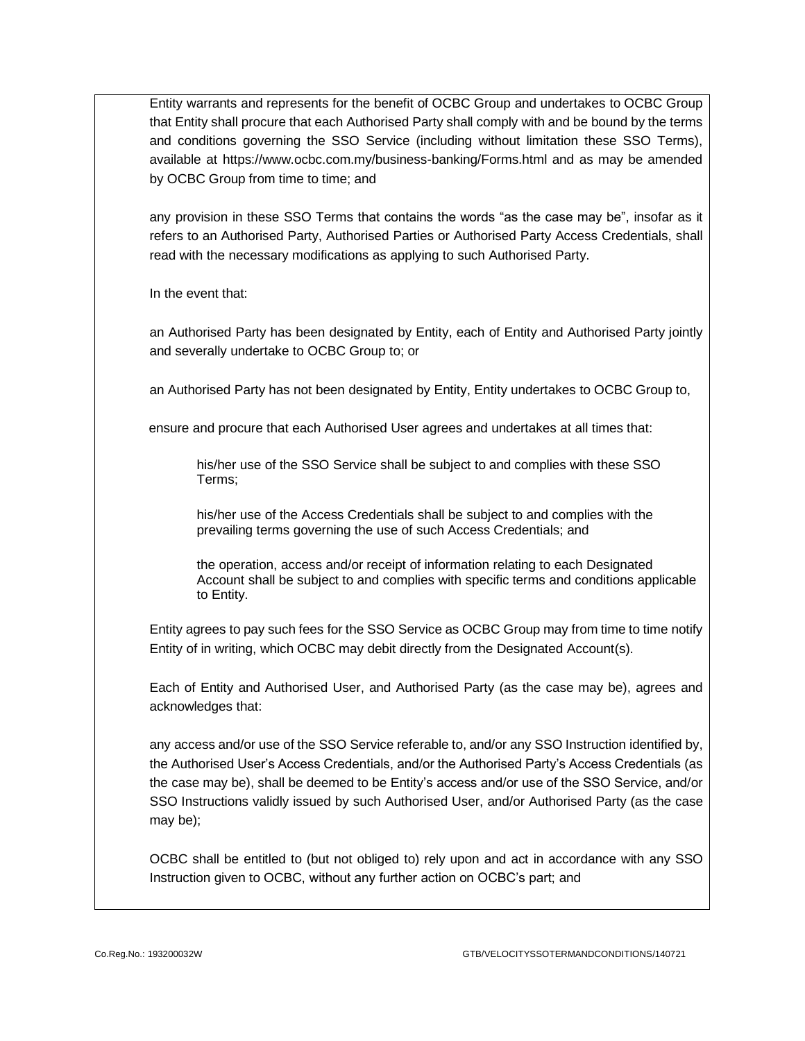Entity warrants and represents for the benefit of OCBC Group and undertakes to OCBC Group that Entity shall procure that each Authorised Party shall comply with and be bound by the terms and conditions governing the SSO Service (including without limitation these SSO Terms), available at https://www.ocbc.com.my/business-banking/Forms.html and as may be amended by OCBC Group from time to time; and

any provision in these SSO Terms that contains the words "as the case may be", insofar as it refers to an Authorised Party, Authorised Parties or Authorised Party Access Credentials, shall read with the necessary modifications as applying to such Authorised Party.

In the event that:

an Authorised Party has been designated by Entity, each of Entity and Authorised Party jointly and severally undertake to OCBC Group to; or

an Authorised Party has not been designated by Entity, Entity undertakes to OCBC Group to,

ensure and procure that each Authorised User agrees and undertakes at all times that:

his/her use of the SSO Service shall be subject to and complies with these SSO Terms;

his/her use of the Access Credentials shall be subject to and complies with the prevailing terms governing the use of such Access Credentials; and

the operation, access and/or receipt of information relating to each Designated Account shall be subject to and complies with specific terms and conditions applicable to Entity.

Entity agrees to pay such fees for the SSO Service as OCBC Group may from time to time notify Entity of in writing, which OCBC may debit directly from the Designated Account(s).

Each of Entity and Authorised User, and Authorised Party (as the case may be), agrees and acknowledges that:

any access and/or use of the SSO Service referable to, and/or any SSO Instruction identified by, the Authorised User's Access Credentials, and/or the Authorised Party's Access Credentials (as the case may be), shall be deemed to be Entity's access and/or use of the SSO Service, and/or SSO Instructions validly issued by such Authorised User, and/or Authorised Party (as the case may be);

OCBC shall be entitled to (but not obliged to) rely upon and act in accordance with any SSO Instruction given to OCBC, without any further action on OCBC's part; and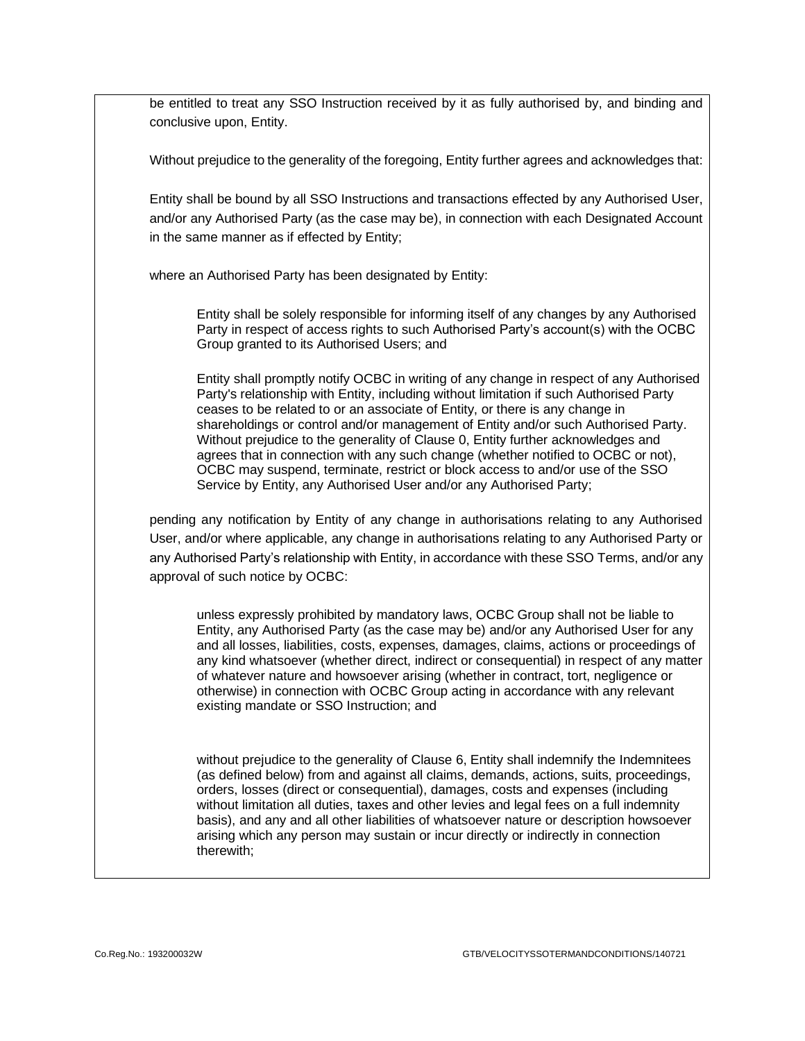be entitled to treat any SSO Instruction received by it as fully authorised by, and binding and conclusive upon, Entity.

Without prejudice to the generality of the foregoing, Entity further agrees and acknowledges that:

Entity shall be bound by all SSO Instructions and transactions effected by any Authorised User, and/or any Authorised Party (as the case may be), in connection with each Designated Account in the same manner as if effected by Entity;

where an Authorised Party has been designated by Entity:

Entity shall be solely responsible for informing itself of any changes by any Authorised Party in respect of access rights to such Authorised Party's account(s) with the OCBC Group granted to its Authorised Users; and

Entity shall promptly notify OCBC in writing of any change in respect of any Authorised Party's relationship with Entity, including without limitation if such Authorised Party ceases to be related to or an associate of Entity, or there is any change in shareholdings or control and/or management of Entity and/or such Authorised Party. Without prejudice to the generality of Claus[e 0,](#page-6-0) Entity further acknowledges and agrees that in connection with any such change (whether notified to OCBC or not), OCBC may suspend, terminate, restrict or block access to and/or use of the SSO Service by Entity, any Authorised User and/or any Authorised Party;

pending any notification by Entity of any change in authorisations relating to any Authorised User, and/or where applicable, any change in authorisations relating to any Authorised Party or any Authorised Party's relationship with Entity, in accordance with these SSO Terms, and/or any approval of such notice by OCBC:

unless expressly prohibited by mandatory laws, OCBC Group shall not be liable to Entity, any Authorised Party (as the case may be) and/or any Authorised User for any and all losses, liabilities, costs, expenses, damages, claims, actions or proceedings of any kind whatsoever (whether direct, indirect or consequential) in respect of any matter of whatever nature and howsoever arising (whether in contract, tort, negligence or otherwise) in connection with OCBC Group acting in accordance with any relevant existing mandate or SSO Instruction; and

without prejudice to the generality of Claus[e 6,](#page-9-0) Entity shall indemnify the Indemnitees (as defined below) from and against all claims, demands, actions, suits, proceedings, orders, losses (direct or consequential), damages, costs and expenses (including without limitation all duties, taxes and other levies and legal fees on a full indemnity basis), and any and all other liabilities of whatsoever nature or description howsoever arising which any person may sustain or incur directly or indirectly in connection therewith;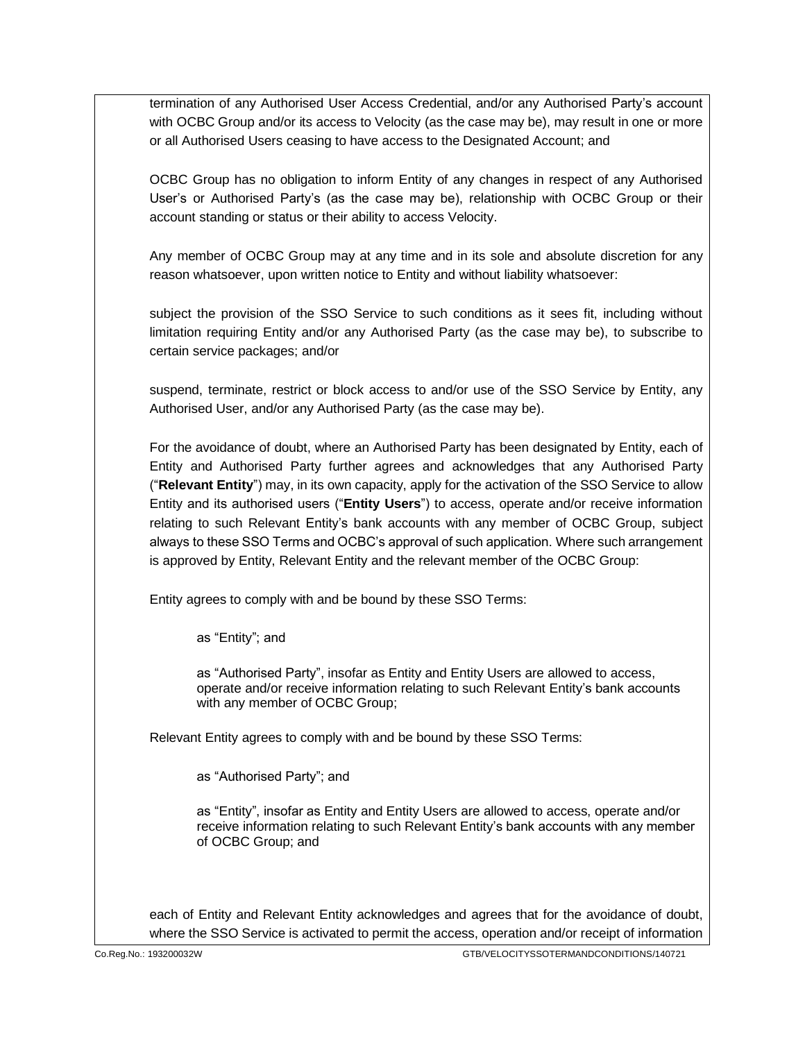termination of any Authorised User Access Credential, and/or any Authorised Party's account with OCBC Group and/or its access to Velocity (as the case may be), may result in one or more or all Authorised Users ceasing to have access to the Designated Account; and

OCBC Group has no obligation to inform Entity of any changes in respect of any Authorised User's or Authorised Party's (as the case may be), relationship with OCBC Group or their account standing or status or their ability to access Velocity.

<span id="page-6-0"></span>Any member of OCBC Group may at any time and in its sole and absolute discretion for any reason whatsoever, upon written notice to Entity and without liability whatsoever:

subject the provision of the SSO Service to such conditions as it sees fit, including without limitation requiring Entity and/or any Authorised Party (as the case may be), to subscribe to certain service packages; and/or

suspend, terminate, restrict or block access to and/or use of the SSO Service by Entity, any Authorised User, and/or any Authorised Party (as the case may be).

For the avoidance of doubt, where an Authorised Party has been designated by Entity, each of Entity and Authorised Party further agrees and acknowledges that any Authorised Party ("**Relevant Entity**") may, in its own capacity, apply for the activation of the SSO Service to allow Entity and its authorised users ("**Entity Users**") to access, operate and/or receive information relating to such Relevant Entity's bank accounts with any member of OCBC Group, subject always to these SSO Terms and OCBC's approval of such application. Where such arrangement is approved by Entity, Relevant Entity and the relevant member of the OCBC Group:

Entity agrees to comply with and be bound by these SSO Terms:

as "Entity"; and

as "Authorised Party", insofar as Entity and Entity Users are allowed to access, operate and/or receive information relating to such Relevant Entity's bank accounts with any member of OCBC Group;

Relevant Entity agrees to comply with and be bound by these SSO Terms:

as "Authorised Party"; and

as "Entity", insofar as Entity and Entity Users are allowed to access, operate and/or receive information relating to such Relevant Entity's bank accounts with any member of OCBC Group; and

each of Entity and Relevant Entity acknowledges and agrees that for the avoidance of doubt, where the SSO Service is activated to permit the access, operation and/or receipt of information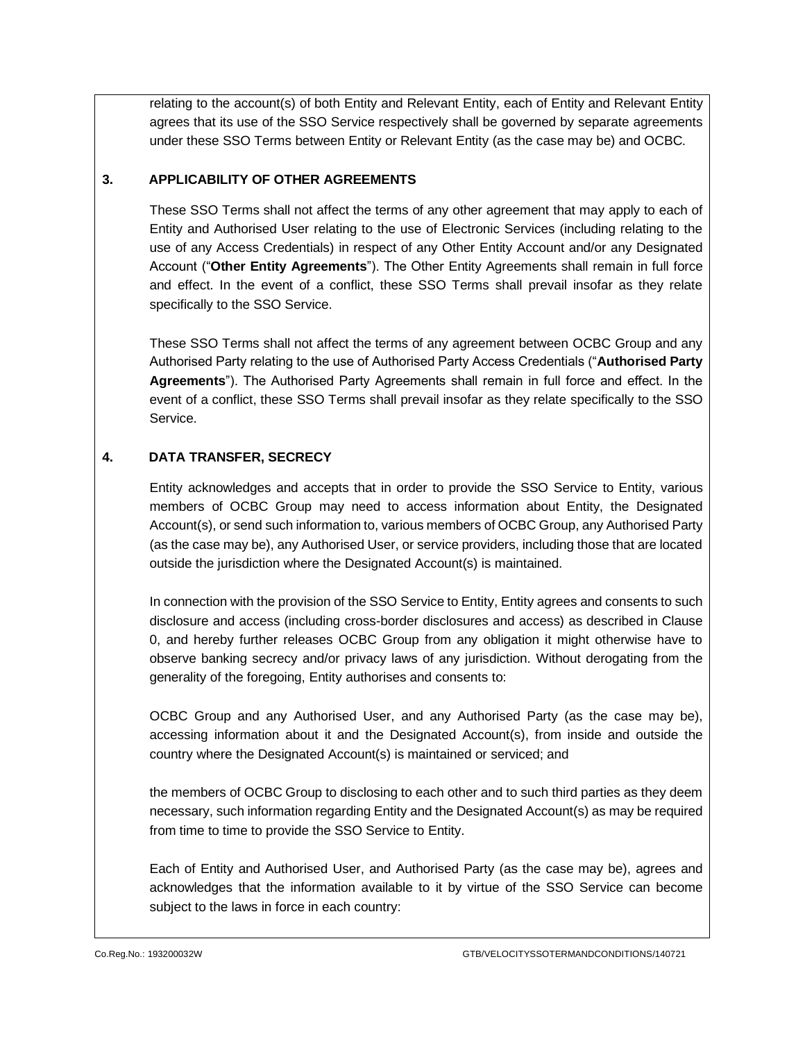relating to the account(s) of both Entity and Relevant Entity, each of Entity and Relevant Entity agrees that its use of the SSO Service respectively shall be governed by separate agreements under these SSO Terms between Entity or Relevant Entity (as the case may be) and OCBC.

## **3. APPLICABILITY OF OTHER AGREEMENTS**

These SSO Terms shall not affect the terms of any other agreement that may apply to each of Entity and Authorised User relating to the use of Electronic Services (including relating to the use of any Access Credentials) in respect of any Other Entity Account and/or any Designated Account ("**Other Entity Agreements**"). The Other Entity Agreements shall remain in full force and effect. In the event of a conflict, these SSO Terms shall prevail insofar as they relate specifically to the SSO Service.

These SSO Terms shall not affect the terms of any agreement between OCBC Group and any Authorised Party relating to the use of Authorised Party Access Credentials ("**Authorised Party Agreements**"). The Authorised Party Agreements shall remain in full force and effect. In the event of a conflict, these SSO Terms shall prevail insofar as they relate specifically to the SSO Service.

## <span id="page-7-0"></span>**4. DATA TRANSFER, SECRECY**

Entity acknowledges and accepts that in order to provide the SSO Service to Entity, various members of OCBC Group may need to access information about Entity, the Designated Account(s), or send such information to, various members of OCBC Group, any Authorised Party (as the case may be), any Authorised User, or service providers, including those that are located outside the jurisdiction where the Designated Account(s) is maintained.

In connection with the provision of the SSO Service to Entity, Entity agrees and consents to such disclosure and access (including cross-border disclosures and access) as described in Clause [0,](#page-7-0) and hereby further releases OCBC Group from any obligation it might otherwise have to observe banking secrecy and/or privacy laws of any jurisdiction. Without derogating from the generality of the foregoing, Entity authorises and consents to:

OCBC Group and any Authorised User, and any Authorised Party (as the case may be), accessing information about it and the Designated Account(s), from inside and outside the country where the Designated Account(s) is maintained or serviced; and

the members of OCBC Group to disclosing to each other and to such third parties as they deem necessary, such information regarding Entity and the Designated Account(s) as may be required from time to time to provide the SSO Service to Entity.

Each of Entity and Authorised User, and Authorised Party (as the case may be), agrees and acknowledges that the information available to it by virtue of the SSO Service can become subject to the laws in force in each country: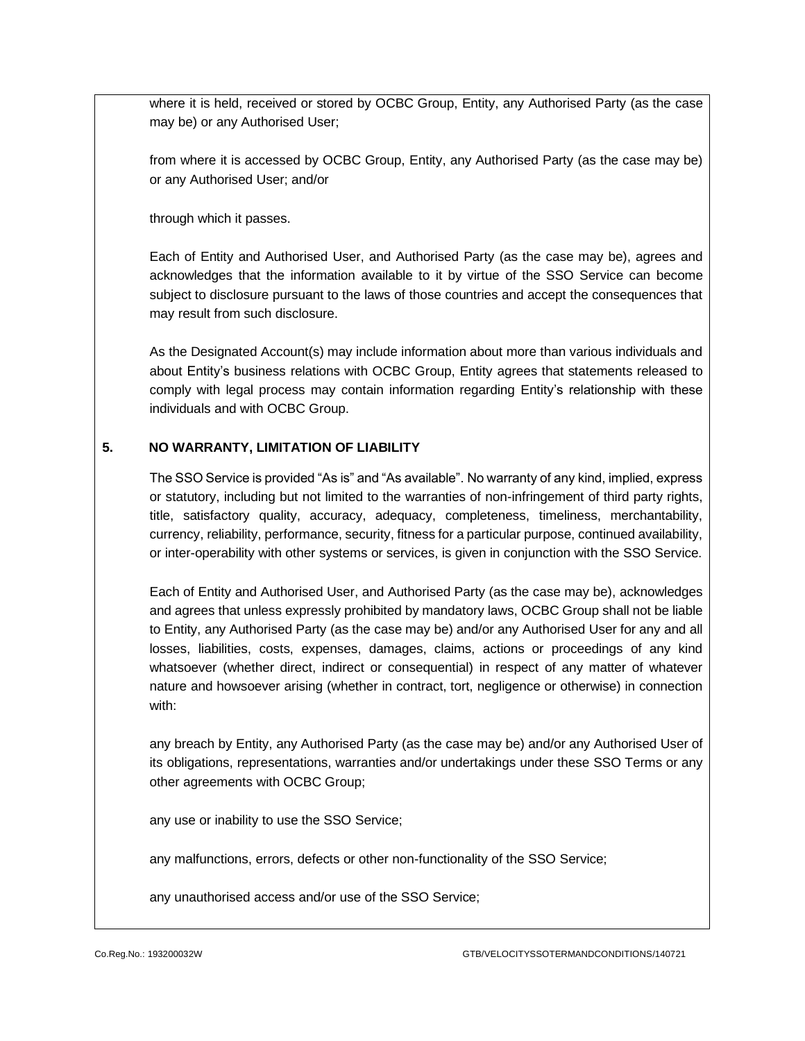where it is held, received or stored by OCBC Group, Entity, any Authorised Party (as the case may be) or any Authorised User;

from where it is accessed by OCBC Group, Entity, any Authorised Party (as the case may be) or any Authorised User; and/or

through which it passes.

Each of Entity and Authorised User, and Authorised Party (as the case may be), agrees and acknowledges that the information available to it by virtue of the SSO Service can become subject to disclosure pursuant to the laws of those countries and accept the consequences that may result from such disclosure.

As the Designated Account(s) may include information about more than various individuals and about Entity's business relations with OCBC Group, Entity agrees that statements released to comply with legal process may contain information regarding Entity's relationship with these individuals and with OCBC Group.

## **5. NO WARRANTY, LIMITATION OF LIABILITY**

The SSO Service is provided "As is" and "As available". No warranty of any kind, implied, express or statutory, including but not limited to the warranties of non-infringement of third party rights, title, satisfactory quality, accuracy, adequacy, completeness, timeliness, merchantability, currency, reliability, performance, security, fitness for a particular purpose, continued availability, or inter-operability with other systems or services, is given in conjunction with the SSO Service.

Each of Entity and Authorised User, and Authorised Party (as the case may be), acknowledges and agrees that unless expressly prohibited by mandatory laws, OCBC Group shall not be liable to Entity, any Authorised Party (as the case may be) and/or any Authorised User for any and all losses, liabilities, costs, expenses, damages, claims, actions or proceedings of any kind whatsoever (whether direct, indirect or consequential) in respect of any matter of whatever nature and howsoever arising (whether in contract, tort, negligence or otherwise) in connection with:

any breach by Entity, any Authorised Party (as the case may be) and/or any Authorised User of its obligations, representations, warranties and/or undertakings under these SSO Terms or any other agreements with OCBC Group;

any use or inability to use the SSO Service;

any malfunctions, errors, defects or other non-functionality of the SSO Service;

any unauthorised access and/or use of the SSO Service;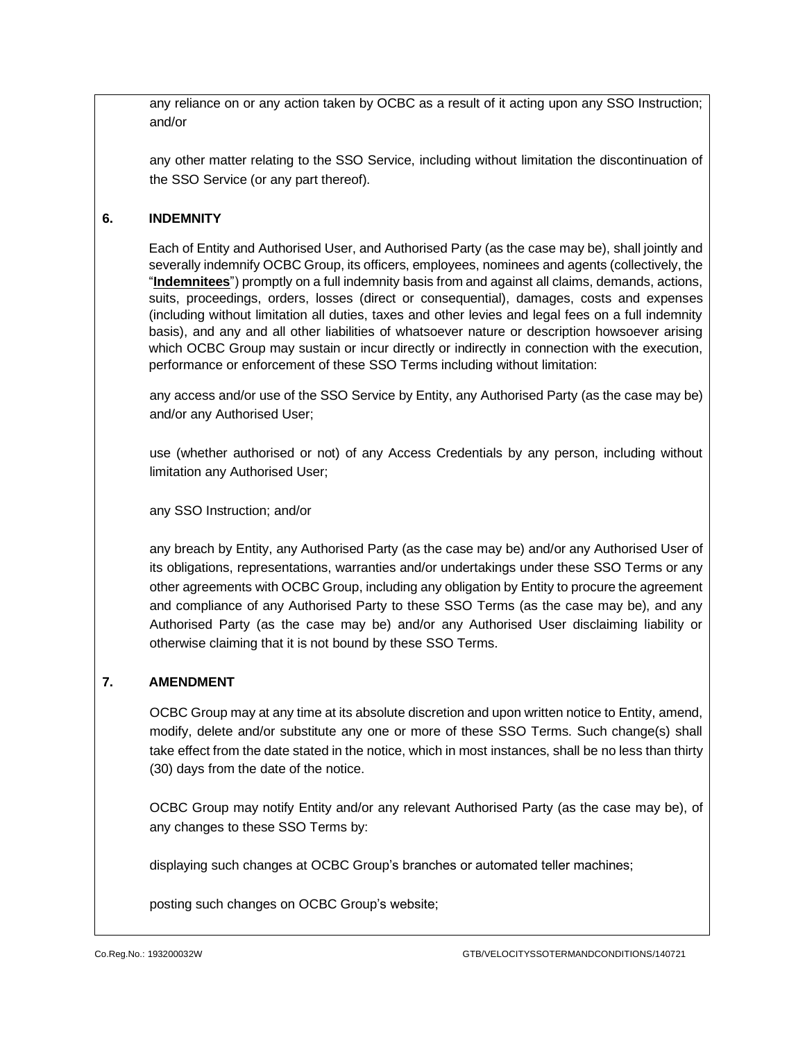any reliance on or any action taken by OCBC as a result of it acting upon any SSO Instruction; and/or

any other matter relating to the SSO Service, including without limitation the discontinuation of the SSO Service (or any part thereof).

## <span id="page-9-0"></span>**6. INDEMNITY**

Each of Entity and Authorised User, and Authorised Party (as the case may be), shall jointly and severally indemnify OCBC Group, its officers, employees, nominees and agents (collectively, the "**Indemnitees**") promptly on a full indemnity basis from and against all claims, demands, actions, suits, proceedings, orders, losses (direct or consequential), damages, costs and expenses (including without limitation all duties, taxes and other levies and legal fees on a full indemnity basis), and any and all other liabilities of whatsoever nature or description howsoever arising which OCBC Group may sustain or incur directly or indirectly in connection with the execution, performance or enforcement of these SSO Terms including without limitation:

any access and/or use of the SSO Service by Entity, any Authorised Party (as the case may be) and/or any Authorised User;

use (whether authorised or not) of any Access Credentials by any person, including without limitation any Authorised User;

any SSO Instruction; and/or

any breach by Entity, any Authorised Party (as the case may be) and/or any Authorised User of its obligations, representations, warranties and/or undertakings under these SSO Terms or any other agreements with OCBC Group, including any obligation by Entity to procure the agreement and compliance of any Authorised Party to these SSO Terms (as the case may be), and any Authorised Party (as the case may be) and/or any Authorised User disclaiming liability or otherwise claiming that it is not bound by these SSO Terms.

## **7. AMENDMENT**

OCBC Group may at any time at its absolute discretion and upon written notice to Entity, amend, modify, delete and/or substitute any one or more of these SSO Terms. Such change(s) shall take effect from the date stated in the notice, which in most instances, shall be no less than thirty (30) days from the date of the notice.

OCBC Group may notify Entity and/or any relevant Authorised Party (as the case may be), of any changes to these SSO Terms by:

displaying such changes at OCBC Group's branches or automated teller machines;

posting such changes on OCBC Group's website;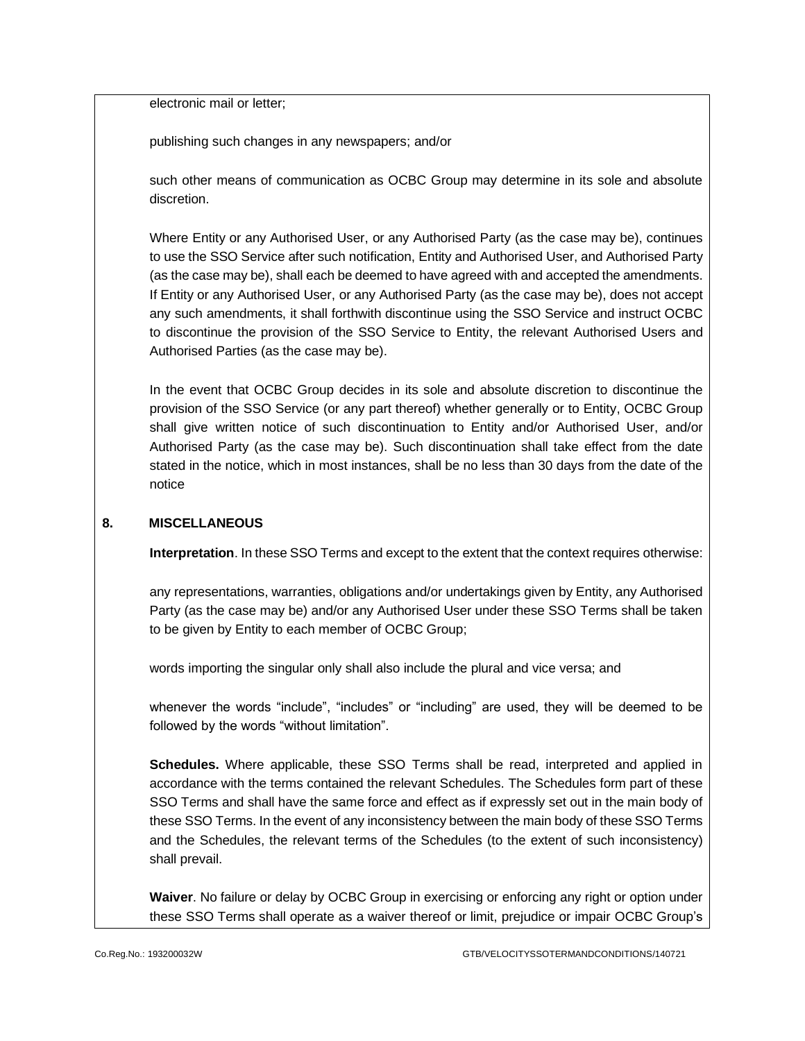electronic mail or letter;

publishing such changes in any newspapers; and/or

such other means of communication as OCBC Group may determine in its sole and absolute discretion.

Where Entity or any Authorised User, or any Authorised Party (as the case may be), continues to use the SSO Service after such notification, Entity and Authorised User, and Authorised Party (as the case may be), shall each be deemed to have agreed with and accepted the amendments. If Entity or any Authorised User, or any Authorised Party (as the case may be), does not accept any such amendments, it shall forthwith discontinue using the SSO Service and instruct OCBC to discontinue the provision of the SSO Service to Entity, the relevant Authorised Users and Authorised Parties (as the case may be).

In the event that OCBC Group decides in its sole and absolute discretion to discontinue the provision of the SSO Service (or any part thereof) whether generally or to Entity, OCBC Group shall give written notice of such discontinuation to Entity and/or Authorised User, and/or Authorised Party (as the case may be). Such discontinuation shall take effect from the date stated in the notice, which in most instances, shall be no less than 30 days from the date of the notice

#### **8. MISCELLANEOUS**

**Interpretation**. In these SSO Terms and except to the extent that the context requires otherwise:

any representations, warranties, obligations and/or undertakings given by Entity, any Authorised Party (as the case may be) and/or any Authorised User under these SSO Terms shall be taken to be given by Entity to each member of OCBC Group;

words importing the singular only shall also include the plural and vice versa; and

whenever the words "include", "includes" or "including" are used, they will be deemed to be followed by the words "without limitation".

**Schedules.** Where applicable, these SSO Terms shall be read, interpreted and applied in accordance with the terms contained the relevant Schedules. The Schedules form part of these SSO Terms and shall have the same force and effect as if expressly set out in the main body of these SSO Terms. In the event of any inconsistency between the main body of these SSO Terms and the Schedules, the relevant terms of the Schedules (to the extent of such inconsistency) shall prevail.

**Waiver**. No failure or delay by OCBC Group in exercising or enforcing any right or option under these SSO Terms shall operate as a waiver thereof or limit, prejudice or impair OCBC Group's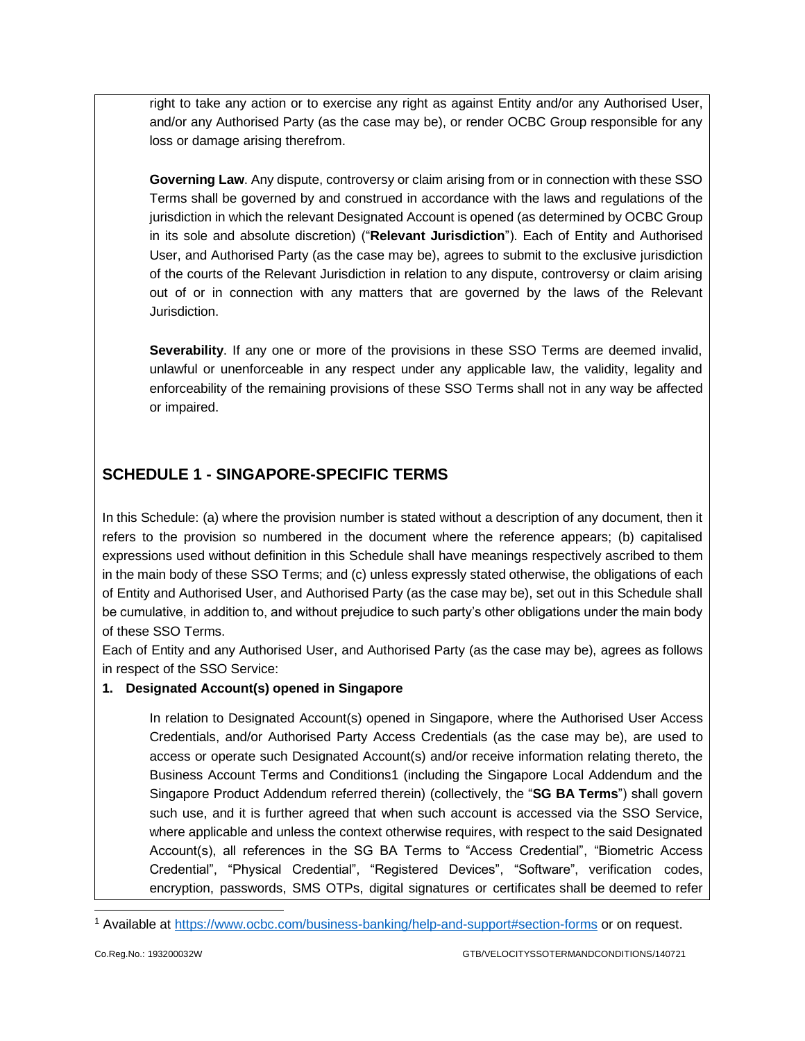right to take any action or to exercise any right as against Entity and/or any Authorised User, and/or any Authorised Party (as the case may be), or render OCBC Group responsible for any loss or damage arising therefrom.

**Governing Law**. Any dispute, controversy or claim arising from or in connection with these SSO Terms shall be governed by and construed in accordance with the laws and regulations of the jurisdiction in which the relevant Designated Account is opened (as determined by OCBC Group in its sole and absolute discretion) ("**Relevant Jurisdiction**"). Each of Entity and Authorised User, and Authorised Party (as the case may be), agrees to submit to the exclusive jurisdiction of the courts of the Relevant Jurisdiction in relation to any dispute, controversy or claim arising out of or in connection with any matters that are governed by the laws of the Relevant Jurisdiction.

**Severability**. If any one or more of the provisions in these SSO Terms are deemed invalid, unlawful or unenforceable in any respect under any applicable law, the validity, legality and enforceability of the remaining provisions of these SSO Terms shall not in any way be affected or impaired.

## **SCHEDULE 1 - SINGAPORE-SPECIFIC TERMS**

In this Schedule: (a) where the provision number is stated without a description of any document, then it refers to the provision so numbered in the document where the reference appears; (b) capitalised expressions used without definition in this Schedule shall have meanings respectively ascribed to them in the main body of these SSO Terms; and (c) unless expressly stated otherwise, the obligations of each of Entity and Authorised User, and Authorised Party (as the case may be), set out in this Schedule shall be cumulative, in addition to, and without prejudice to such party's other obligations under the main body of these SSO Terms.

Each of Entity and any Authorised User, and Authorised Party (as the case may be), agrees as follows in respect of the SSO Service:

## **1. Designated Account(s) opened in Singapore**

In relation to Designated Account(s) opened in Singapore, where the Authorised User Access Credentials, and/or Authorised Party Access Credentials (as the case may be), are used to access or operate such Designated Account(s) and/or receive information relating thereto, the Business Account Terms and Conditions1 (including the Singapore Local Addendum and the Singapore Product Addendum referred therein) (collectively, the "**SG BA Terms**") shall govern such use, and it is further agreed that when such account is accessed via the SSO Service, where applicable and unless the context otherwise requires, with respect to the said Designated Account(s), all references in the SG BA Terms to "Access Credential", "Biometric Access Credential", "Physical Credential", "Registered Devices", "Software", verification codes, encryption, passwords, SMS OTPs, digital signatures or certificates shall be deemed to refer

<sup>1</sup> Available at<https://www.ocbc.com/business-banking/help-and-support#section-forms> or on request.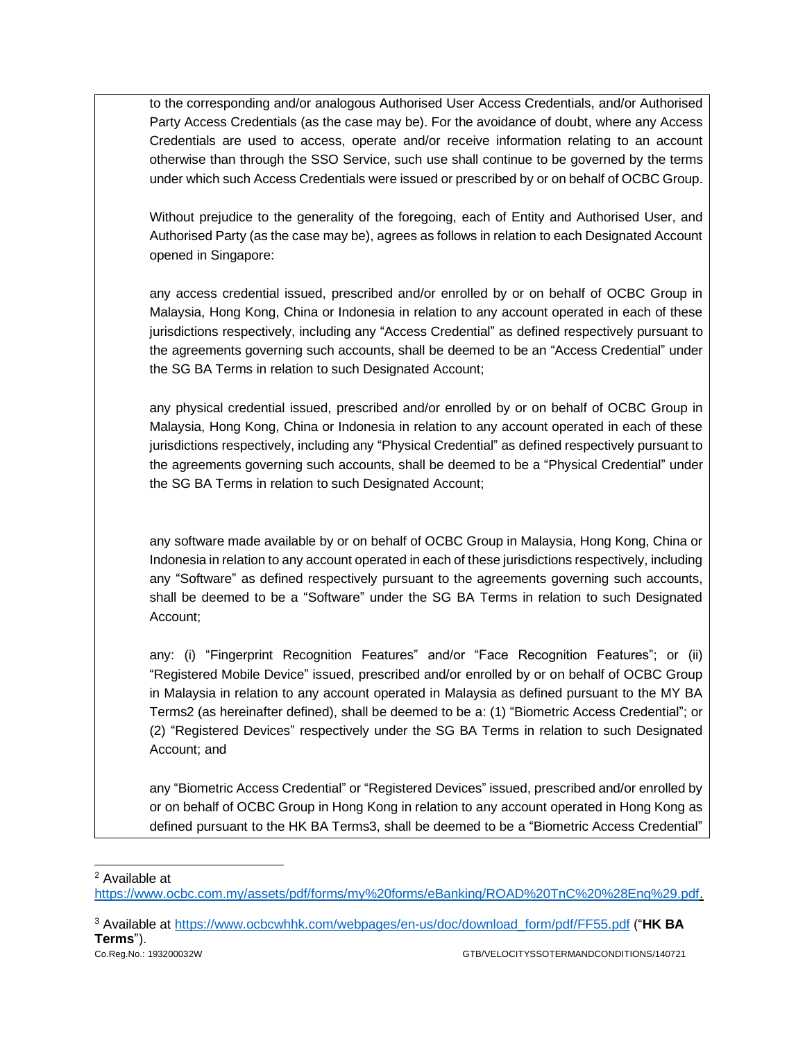| to the corresponding and/or analogous Authorised User Access Credentials, and/or Authorised<br>Party Access Credentials (as the case may be). For the avoidance of doubt, where any Access<br>Credentials are used to access, operate and/or receive information relating to an account<br>otherwise than through the SSO Service, such use shall continue to be governed by the terms<br>under which such Access Credentials were issued or prescribed by or on behalf of OCBC Group.                  |
|---------------------------------------------------------------------------------------------------------------------------------------------------------------------------------------------------------------------------------------------------------------------------------------------------------------------------------------------------------------------------------------------------------------------------------------------------------------------------------------------------------|
| Without prejudice to the generality of the foregoing, each of Entity and Authorised User, and<br>Authorised Party (as the case may be), agrees as follows in relation to each Designated Account<br>opened in Singapore:                                                                                                                                                                                                                                                                                |
| any access credential issued, prescribed and/or enrolled by or on behalf of OCBC Group in<br>Malaysia, Hong Kong, China or Indonesia in relation to any account operated in each of these<br>jurisdictions respectively, including any "Access Credential" as defined respectively pursuant to<br>the agreements governing such accounts, shall be deemed to be an "Access Credential" under<br>the SG BA Terms in relation to such Designated Account;                                                 |
| any physical credential issued, prescribed and/or enrolled by or on behalf of OCBC Group in<br>Malaysia, Hong Kong, China or Indonesia in relation to any account operated in each of these<br>jurisdictions respectively, including any "Physical Credential" as defined respectively pursuant to<br>the agreements governing such accounts, shall be deemed to be a "Physical Credential" under<br>the SG BA Terms in relation to such Designated Account;                                            |
| any software made available by or on behalf of OCBC Group in Malaysia, Hong Kong, China or<br>Indonesia in relation to any account operated in each of these jurisdictions respectively, including<br>any "Software" as defined respectively pursuant to the agreements governing such accounts,<br>shall be deemed to be a "Software" under the SG BA Terms in relation to such Designated<br>Account;                                                                                                 |
| any: (i) "Fingerprint Recognition Features" and/or "Face Recognition Features"; or (ii)<br>"Registered Mobile Device" issued, prescribed and/or enrolled by or on behalf of OCBC Group<br>in Malaysia in relation to any account operated in Malaysia as defined pursuant to the MY BA<br>Terms2 (as hereinafter defined), shall be deemed to be a: (1) "Biometric Access Credential"; or<br>(2) "Registered Devices" respectively under the SG BA Terms in relation to such Designated<br>Account; and |

any "Biometric Access Credential" or "Registered Devices" issued, prescribed and/or enrolled by or on behalf of OCBC Group in Hong Kong in relation to any account operated in Hong Kong as defined pursuant to the HK BA Terms3, shall be deemed to be a "Biometric Access Credential"

<sup>2</sup> Available at

[https://www.ocbc.com.my/assets/pdf/forms/my%20forms/eBanking/ROAD%20TnC%20%28Eng%29.pdf.](https://www.ocbc.com.my/assets/pdf/forms/my%20forms/eBanking/ROAD%20TnC%20%28Eng%29.pdf)

<sup>3</sup> Available at [https://www.ocbcwhhk.com/webpages/en-us/doc/download\\_form/pdf/FF55.pdf](https://www.ocbcwhhk.com/webpages/en-us/doc/download_form/pdf/FF55.pdf) ("**HK BA Terms**").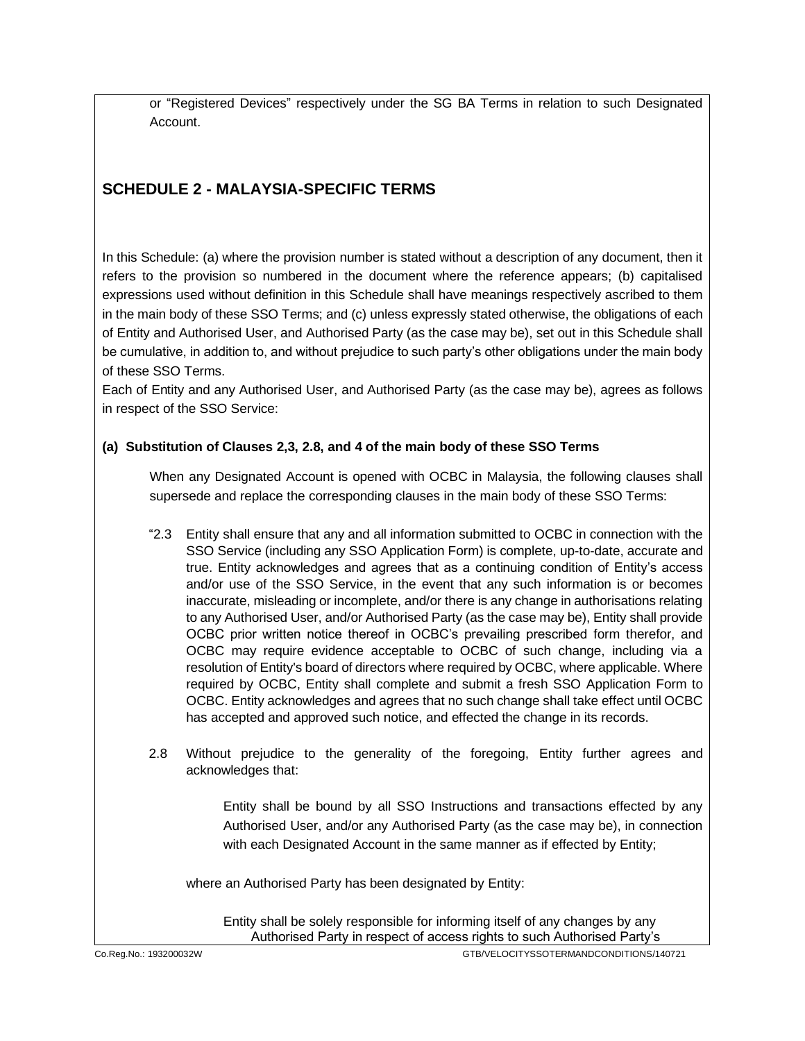or "Registered Devices" respectively under the SG BA Terms in relation to such Designated Account.

# **SCHEDULE 2 - MALAYSIA-SPECIFIC TERMS**

In this Schedule: (a) where the provision number is stated without a description of any document, then it refers to the provision so numbered in the document where the reference appears; (b) capitalised expressions used without definition in this Schedule shall have meanings respectively ascribed to them in the main body of these SSO Terms; and (c) unless expressly stated otherwise, the obligations of each of Entity and Authorised User, and Authorised Party (as the case may be), set out in this Schedule shall be cumulative, in addition to, and without prejudice to such party's other obligations under the main body of these SSO Terms.

Each of Entity and any Authorised User, and Authorised Party (as the case may be), agrees as follows in respect of the SSO Service:

## **(a) Substitution of Clauses 2,3, 2.8, and 4 of the main body of these SSO Terms**

When any Designated Account is opened with OCBC in Malaysia, the following clauses shall supersede and replace the corresponding clauses in the main body of these SSO Terms:

- "2.3 Entity shall ensure that any and all information submitted to OCBC in connection with the SSO Service (including any SSO Application Form) is complete, up-to-date, accurate and true. Entity acknowledges and agrees that as a continuing condition of Entity's access and/or use of the SSO Service, in the event that any such information is or becomes inaccurate, misleading or incomplete, and/or there is any change in authorisations relating to any Authorised User, and/or Authorised Party (as the case may be), Entity shall provide OCBC prior written notice thereof in OCBC's prevailing prescribed form therefor, and OCBC may require evidence acceptable to OCBC of such change, including via a resolution of Entity's board of directors where required by OCBC, where applicable. Where required by OCBC, Entity shall complete and submit a fresh SSO Application Form to OCBC. Entity acknowledges and agrees that no such change shall take effect until OCBC has accepted and approved such notice, and effected the change in its records.
- 2.8 Without prejudice to the generality of the foregoing, Entity further agrees and acknowledges that:

Entity shall be bound by all SSO Instructions and transactions effected by any Authorised User, and/or any Authorised Party (as the case may be), in connection with each Designated Account in the same manner as if effected by Entity;

where an Authorised Party has been designated by Entity:

Entity shall be solely responsible for informing itself of any changes by any Authorised Party in respect of access rights to such Authorised Party's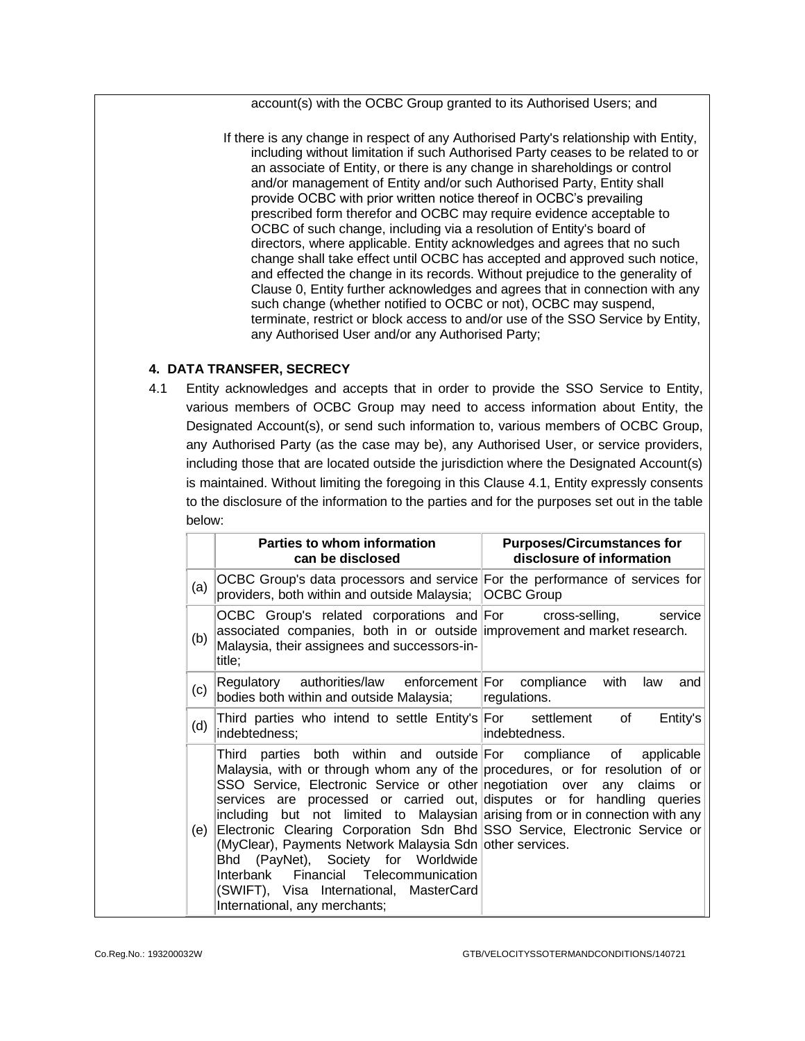account(s) with the OCBC Group granted to its Authorised Users; and

If there is any change in respect of any Authorised Party's relationship with Entity, including without limitation if such Authorised Party ceases to be related to or an associate of Entity, or there is any change in shareholdings or control and/or management of Entity and/or such Authorised Party, Entity shall provide OCBC with prior written notice thereof in OCBC's prevailing prescribed form therefor and OCBC may require evidence acceptable to OCBC of such change, including via a resolution of Entity's board of directors, where applicable. Entity acknowledges and agrees that no such change shall take effect until OCBC has accepted and approved such notice, and effected the change in its records. Without prejudice to the generality of Clause [0,](#page-6-0) Entity further acknowledges and agrees that in connection with any such change (whether notified to OCBC or not), OCBC may suspend, terminate, restrict or block access to and/or use of the SSO Service by Entity, any Authorised User and/or any Authorised Party;

#### **4. DATA TRANSFER, SECRECY**

4.1 Entity acknowledges and accepts that in order to provide the SSO Service to Entity, various members of OCBC Group may need to access information about Entity, the Designated Account(s), or send such information to, various members of OCBC Group, any Authorised Party (as the case may be), any Authorised User, or service providers, including those that are located outside the jurisdiction where the Designated Account(s) is maintained. Without limiting the foregoing in this Clause 4.1, Entity expressly consents to the disclosure of the information to the parties and for the purposes set out in the table below:

|     | Parties to whom information<br>can be disclosed                                                                                                                                                                                                                                                                                                                                                                                                                                                                                                                                                                                                                                                  | <b>Purposes/Circumstances for</b><br>disclosure of information |
|-----|--------------------------------------------------------------------------------------------------------------------------------------------------------------------------------------------------------------------------------------------------------------------------------------------------------------------------------------------------------------------------------------------------------------------------------------------------------------------------------------------------------------------------------------------------------------------------------------------------------------------------------------------------------------------------------------------------|----------------------------------------------------------------|
| (a) | OCBC Group's data processors and service For the performance of services for<br>providers, both within and outside Malaysia; OCBC Group                                                                                                                                                                                                                                                                                                                                                                                                                                                                                                                                                          |                                                                |
| (b) | OCBC Group's related corporations and For cross-selling,<br>associated companies, both in or outside improvement and market research.<br>Malaysia, their assignees and successors-in-<br>title;                                                                                                                                                                                                                                                                                                                                                                                                                                                                                                  | service                                                        |
| (c) | Regulatory authorities/law enforcement For compliance<br>bodies both within and outside Malaysia;                                                                                                                                                                                                                                                                                                                                                                                                                                                                                                                                                                                                | with<br>law<br>and<br>regulations.                             |
| (d) | Third parties who intend to settle Entity's For settlement of<br>indebtedness;                                                                                                                                                                                                                                                                                                                                                                                                                                                                                                                                                                                                                   | Entity's<br>indebtedness.                                      |
| (e) | Third parties both within and outside For compliance of applicable<br>Malaysia, with or through whom any of the procedures, or for resolution of or<br>SSO Service, Electronic Service or other negotiation over any claims<br>services are processed or carried out, disputes or for handling queries<br>including but not limited to Malaysian arising from or in connection with any<br>Electronic Clearing Corporation Sdn Bhd SSO Service, Electronic Service or<br>(MyClear), Payments Network Malaysia Sdn other services.<br>Bhd (PayNet), Society for Worldwide<br>Financial Telecommunication<br>Interbank<br>(SWIFT), Visa International, MasterCard<br>International, any merchants; | or                                                             |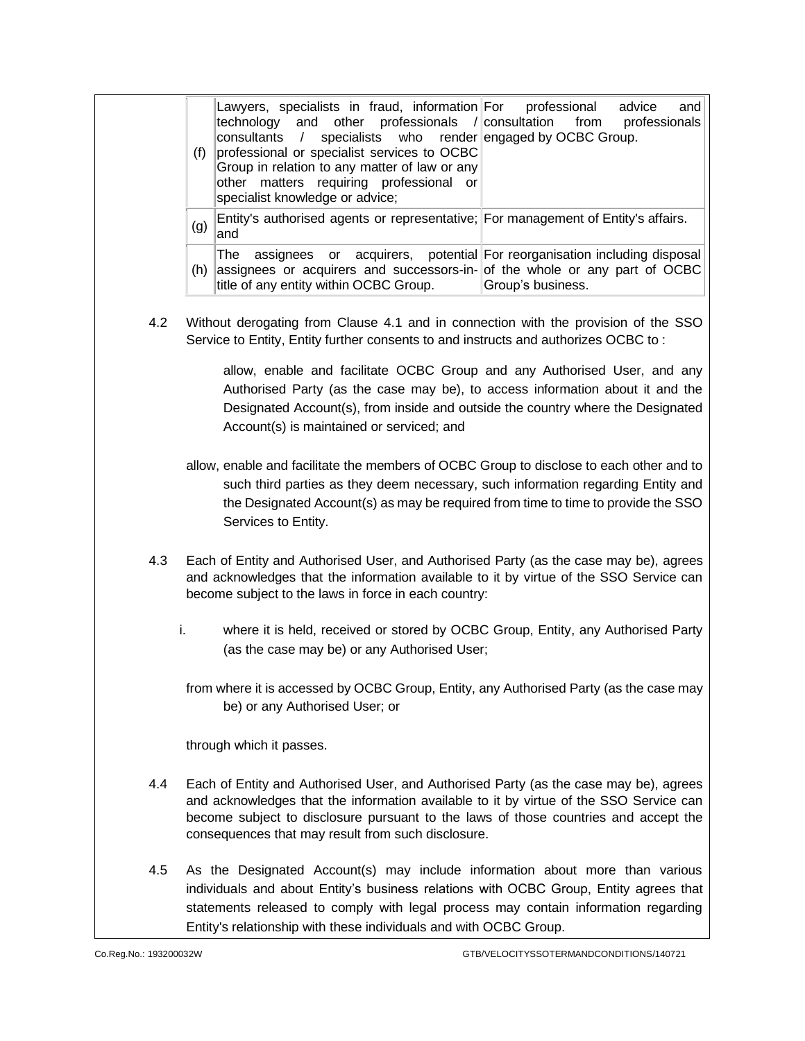| (f) | Lawyers, specialists in fraud, information For professional<br>technology and other professionals / consultation from professionals<br>specialists who render engaged by OCBC Group.<br>consultants /<br>professional or specialist services to OCBC<br>Group in relation to any matter of law or any<br>other matters requiring professional or<br>specialist knowledge or advice; | advice<br>and     |
|-----|-------------------------------------------------------------------------------------------------------------------------------------------------------------------------------------------------------------------------------------------------------------------------------------------------------------------------------------------------------------------------------------|-------------------|
| (g) | Entity's authorised agents or representative; For management of Entity's affairs.<br>land                                                                                                                                                                                                                                                                                           |                   |
| (h) | assignees or acquirers, potential For reorganisation including disposal<br>The<br>assignees or acquirers and successors-in- of the whole or any part of OCBC<br>title of any entity within OCBC Group.                                                                                                                                                                              | Group's business. |

4.2 Without derogating from Clause 4.1 and in connection with the provision of the SSO Service to Entity, Entity further consents to and instructs and authorizes OCBC to :

> allow, enable and facilitate OCBC Group and any Authorised User, and any Authorised Party (as the case may be), to access information about it and the Designated Account(s), from inside and outside the country where the Designated Account(s) is maintained or serviced; and

- allow, enable and facilitate the members of OCBC Group to disclose to each other and to such third parties as they deem necessary, such information regarding Entity and the Designated Account(s) as may be required from time to time to provide the SSO Services to Entity.
- 4.3 Each of Entity and Authorised User, and Authorised Party (as the case may be), agrees and acknowledges that the information available to it by virtue of the SSO Service can become subject to the laws in force in each country:
	- i. where it is held, received or stored by OCBC Group, Entity, any Authorised Party (as the case may be) or any Authorised User;

from where it is accessed by OCBC Group, Entity, any Authorised Party (as the case may be) or any Authorised User; or

through which it passes.

- 4.4 Each of Entity and Authorised User, and Authorised Party (as the case may be), agrees and acknowledges that the information available to it by virtue of the SSO Service can become subject to disclosure pursuant to the laws of those countries and accept the consequences that may result from such disclosure.
- 4.5 As the Designated Account(s) may include information about more than various individuals and about Entity's business relations with OCBC Group, Entity agrees that statements released to comply with legal process may contain information regarding Entity's relationship with these individuals and with OCBC Group.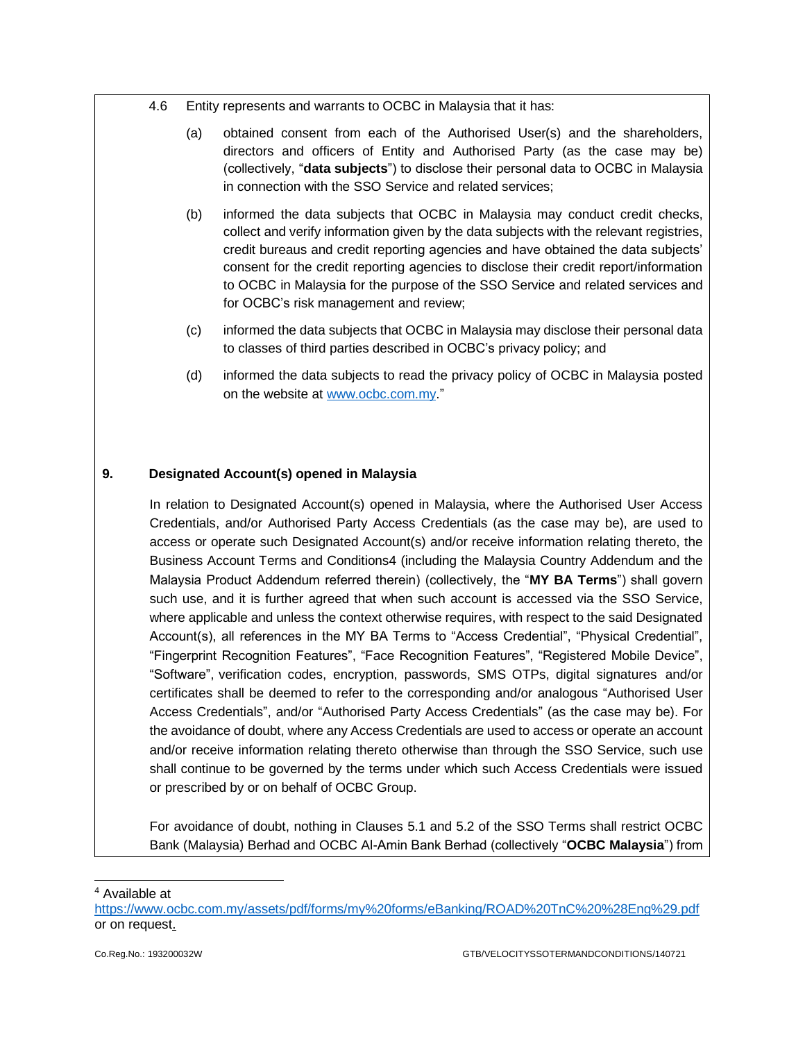- 4.6 Entity represents and warrants to OCBC in Malaysia that it has:
	- (a) obtained consent from each of the Authorised User(s) and the shareholders, directors and officers of Entity and Authorised Party (as the case may be) (collectively, "**data subjects**") to disclose their personal data to OCBC in Malaysia in connection with the SSO Service and related services;
	- (b) informed the data subjects that OCBC in Malaysia may conduct credit checks, collect and verify information given by the data subjects with the relevant registries, credit bureaus and credit reporting agencies and have obtained the data subjects' consent for the credit reporting agencies to disclose their credit report/information to OCBC in Malaysia for the purpose of the SSO Service and related services and for OCBC's risk management and review;
	- (c) informed the data subjects that OCBC in Malaysia may disclose their personal data to classes of third parties described in OCBC's privacy policy; and
	- (d) informed the data subjects to read the privacy policy of OCBC in Malaysia posted on the website at [www.ocbc.com.my.](http://www.ocbc.com.my/)"

#### **9. Designated Account(s) opened in Malaysia**

In relation to Designated Account(s) opened in Malaysia, where the Authorised User Access Credentials, and/or Authorised Party Access Credentials (as the case may be), are used to access or operate such Designated Account(s) and/or receive information relating thereto, the Business Account Terms and Conditions4 (including the Malaysia Country Addendum and the Malaysia Product Addendum referred therein) (collectively, the "**MY BA Terms**") shall govern such use, and it is further agreed that when such account is accessed via the SSO Service, where applicable and unless the context otherwise requires, with respect to the said Designated Account(s), all references in the MY BA Terms to "Access Credential", "Physical Credential", "Fingerprint Recognition Features", "Face Recognition Features", "Registered Mobile Device", "Software", verification codes, encryption, passwords, SMS OTPs, digital signatures and/or certificates shall be deemed to refer to the corresponding and/or analogous "Authorised User Access Credentials", and/or "Authorised Party Access Credentials" (as the case may be). For the avoidance of doubt, where any Access Credentials are used to access or operate an account and/or receive information relating thereto otherwise than through the SSO Service, such use shall continue to be governed by the terms under which such Access Credentials were issued or prescribed by or on behalf of OCBC Group.

For avoidance of doubt, nothing in Clauses 5.1 and 5.2 of the SSO Terms shall restrict OCBC Bank (Malaysia) Berhad and OCBC Al-Amin Bank Berhad (collectively "**OCBC Malaysia**") from

<sup>4</sup> Available at

<https://www.ocbc.com.my/assets/pdf/forms/my%20forms/eBanking/ROAD%20TnC%20%28Eng%29.pdf> or on request.